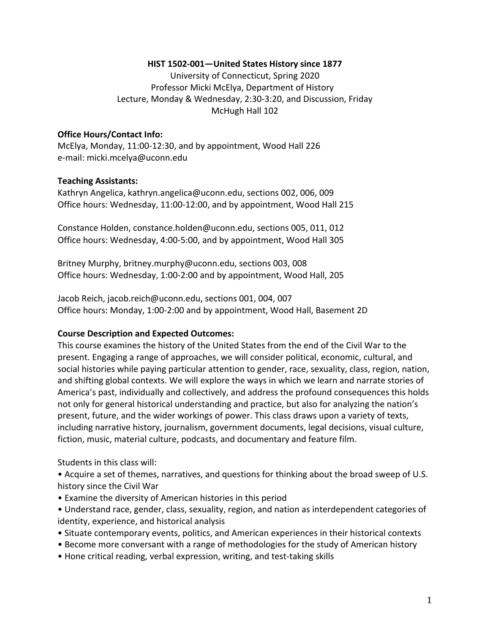#### HIST 1502-001-United States History since 1877

University of Connecticut, Spring 2020 Professor Micki McElya, Department of History Lecture, Monday & Wednesday, 2:30-3:20, and Discussion, Friday McHugh Hall 102

#### **Office Hours/Contact Info:**

McElya, Monday, 11:00-12:30, and by appointment, Wood Hall 226 e-mail: micki.mcelya@uconn.edu

#### **Teaching Assistants:**

Kathryn Angelica, kathryn.angelica@uconn.edu, sections 002, 006, 009 Office hours: Wednesday, 11:00-12:00, and by appointment, Wood Hall 215

Constance Holden, constance.holden@uconn.edu, sections 005, 011, 012 Office hours: Wednesday, 4:00-5:00, and by appointment, Wood Hall 305

Britney Murphy, britney.murphy@uconn.edu, sections 003, 008 Office hours: Wednesday, 1:00-2:00 and by appointment, Wood Hall, 205

Jacob Reich, jacob.reich@uconn.edu, sections 001, 004, 007 Office hours: Monday, 1:00-2:00 and by appointment, Wood Hall, Basement 2D

#### **Course Description and Expected Outcomes:**

This course examines the history of the United States from the end of the Civil War to the present. Engaging a range of approaches, we will consider political, economic, cultural, and social histories while paying particular attention to gender, race, sexuality, class, region, nation, and shifting global contexts. We will explore the ways in which we learn and narrate stories of America's past, individually and collectively, and address the profound consequences this holds not only for general historical understanding and practice, but also for analyzing the nation's present, future, and the wider workings of power. This class draws upon a variety of texts, including narrative history, journalism, government documents, legal decisions, visual culture, fiction, music, material culture, podcasts, and documentary and feature film.

Students in this class will:

• Acquire a set of themes, narratives, and questions for thinking about the broad sweep of U.S. history since the Civil War

- Examine the diversity of American histories in this period
- Understand race, gender, class, sexuality, region, and nation as interdependent categories of identity, experience, and historical analysis
- Situate contemporary events, politics, and American experiences in their historical contexts
- Become more conversant with a range of methodologies for the study of American history
- Hone critical reading, verbal expression, writing, and test-taking skills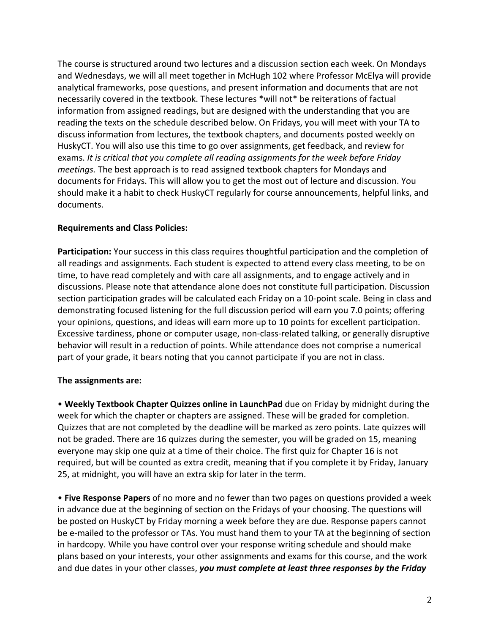The course is structured around two lectures and a discussion section each week. On Mondays and Wednesdays, we will all meet together in McHugh 102 where Professor McElya will provide analytical frameworks, pose questions, and present information and documents that are not necessarily covered in the textbook. These lectures \*will not\* be reiterations of factual information from assigned readings, but are designed with the understanding that you are reading the texts on the schedule described below. On Fridays, you will meet with your TA to discuss information from lectures, the textbook chapters, and documents posted weekly on HuskyCT. You will also use this time to go over assignments, get feedback, and review for exams. It is critical that you complete all reading assignments for the week before Friday *meetings.* The best approach is to read assigned textbook chapters for Mondays and documents for Fridays. This will allow you to get the most out of lecture and discussion. You should make it a habit to check HuskyCT regularly for course announcements, helpful links, and documents.

#### **Requirements and Class Policies:**

**Participation:** Your success in this class requires thoughtful participation and the completion of all readings and assignments. Each student is expected to attend every class meeting, to be on time, to have read completely and with care all assignments, and to engage actively and in discussions. Please note that attendance alone does not constitute full participation. Discussion section participation grades will be calculated each Friday on a 10-point scale. Being in class and demonstrating focused listening for the full discussion period will earn you 7.0 points; offering your opinions, questions, and ideas will earn more up to 10 points for excellent participation. Excessive tardiness, phone or computer usage, non-class-related talking, or generally disruptive behavior will result in a reduction of points. While attendance does not comprise a numerical part of your grade, it bears noting that you cannot participate if you are not in class.

## **The assignments are:**

• Weekly Textbook Chapter Quizzes online in LaunchPad due on Friday by midnight during the week for which the chapter or chapters are assigned. These will be graded for completion. Quizzes that are not completed by the deadline will be marked as zero points. Late quizzes will not be graded. There are 16 quizzes during the semester, you will be graded on 15, meaning everyone may skip one quiz at a time of their choice. The first quiz for Chapter 16 is not required, but will be counted as extra credit, meaning that if you complete it by Friday, January 25, at midnight, you will have an extra skip for later in the term.

• Five Response Papers of no more and no fewer than two pages on questions provided a week in advance due at the beginning of section on the Fridays of your choosing. The questions will be posted on HuskyCT by Friday morning a week before they are due. Response papers cannot be e-mailed to the professor or TAs. You must hand them to your TA at the beginning of section in hardcopy. While you have control over your response writing schedule and should make plans based on your interests, your other assignments and exams for this course, and the work and due dates in your other classes, you must complete at least three responses by the Friday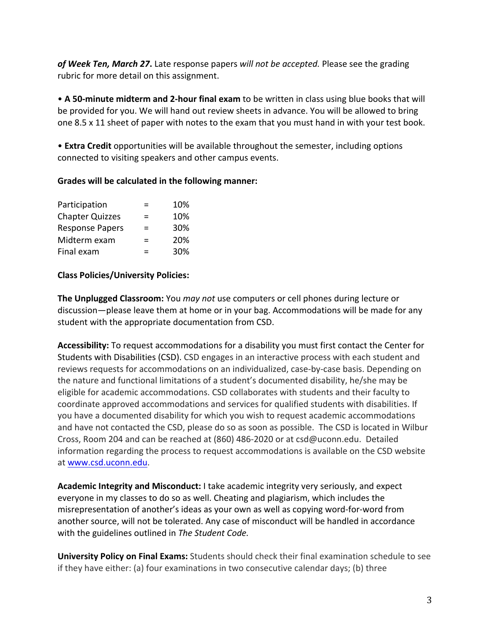of Week Ten, March 27. Late response papers will not be accepted. Please see the grading rubric for more detail on this assignment.

• A 50-minute midterm and 2-hour final exam to be written in class using blue books that will be provided for you. We will hand out review sheets in advance. You will be allowed to bring one  $8.5 \times 11$  sheet of paper with notes to the exam that you must hand in with your test book.

• **Extra Credit** opportunities will be available throughout the semester, including options connected to visiting speakers and other campus events.

#### Grades will be calculated in the following manner:

| Participation          | $\equiv$ | 10% |
|------------------------|----------|-----|
| <b>Chapter Quizzes</b> | =        | 10% |
| <b>Response Papers</b> | $\equiv$ | 30% |
| Midterm exam           | $\equiv$ | 20% |
| Final exam             | $\equiv$ | 30% |

## **Class Policies/University Policies:**

**The Unplugged Classroom:** You *may not* use computers or cell phones during lecture or discussion—please leave them at home or in your bag. Accommodations will be made for any student with the appropriate documentation from CSD.

Accessibility: To request accommodations for a disability you must first contact the Center for Students with Disabilities (CSD). CSD engages in an interactive process with each student and reviews requests for accommodations on an individualized, case-by-case basis. Depending on the nature and functional limitations of a student's documented disability, he/she may be eligible for academic accommodations. CSD collaborates with students and their faculty to coordinate approved accommodations and services for qualified students with disabilities. If you have a documented disability for which you wish to request academic accommodations and have not contacted the CSD, please do so as soon as possible. The CSD is located in Wilbur Cross, Room 204 and can be reached at  $(860)$  486-2020 or at csd@uconn.edu. Detailed information regarding the process to request accommodations is available on the CSD website at www.csd.uconn.edu.

**Academic Integrity and Misconduct:** I take academic integrity very seriously, and expect everyone in my classes to do so as well. Cheating and plagiarism, which includes the misrepresentation of another's ideas as your own as well as copying word-for-word from another source, will not be tolerated. Any case of misconduct will be handled in accordance with the guidelines outlined in *The Student Code.* 

**University Policy on Final Exams:** Students should check their final examination schedule to see if they have either: (a) four examinations in two consecutive calendar days; (b) three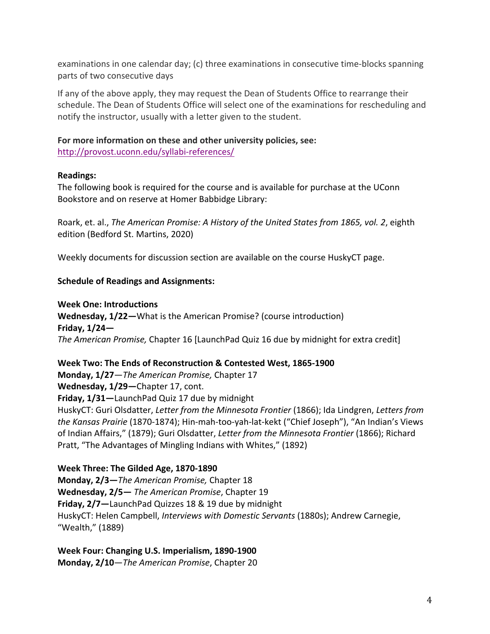examinations in one calendar day; (c) three examinations in consecutive time-blocks spanning parts of two consecutive days

If any of the above apply, they may request the Dean of Students Office to rearrange their schedule. The Dean of Students Office will select one of the examinations for rescheduling and notify the instructor, usually with a letter given to the student.

# For more information on these and other university policies, see:

http://provost.uconn.edu/syllabi-references/

#### **Readings:**

The following book is required for the course and is available for purchase at the UConn Bookstore and on reserve at Homer Babbidge Library:

Roark, et. al., *The American Promise: A History of the United States from 1865, vol. 2, eighth* edition (Bedford St. Martins, 2020)

Weekly documents for discussion section are available on the course HuskyCT page.

## **Schedule of Readings and Assignments:**

**Week One: Introductions Wednesday, 1/22**—What is the American Promise? (course introduction) **Friday, 1/24—** *The American Promise,* Chapter 16 [LaunchPad Quiz 16 due by midnight for extra credit]

Week Two: The Ends of Reconstruction & Contested West, 1865-1900 **Monday, 1/27**—*The American Promise*, Chapter 17 Wednesday, 1/29-Chapter 17, cont. Friday, 1/31-LaunchPad Quiz 17 due by midnight HuskyCT: Guri Olsdatter, *Letter from the Minnesota Frontier* (1866); Ida Lindgren, Letters from *the Kansas Prairie* (1870-1874); Hin-mah-too-yah-lat-kekt ("Chief Joseph"), "An Indian's Views of Indian Affairs," (1879); Guri Olsdatter, *Letter from the Minnesota Frontier* (1866); Richard Pratt, "The Advantages of Mingling Indians with Whites," (1892)

#### **Week Three: The Gilded Age, 1870-1890**

**Monday, 2/3–The American Promise, Chapter 18 Wednesday, 2/5—** *The American Promise*, Chapter 19 Friday, 2/7-LaunchPad Quizzes 18 & 19 due by midnight HuskyCT: Helen Campbell, *Interviews with Domestic Servants* (1880s); Andrew Carnegie, "Wealth," (1889)

**Week Four: Changing U.S. Imperialism, 1890-1900 Monday, 2/10**—*The American Promise*, Chapter 20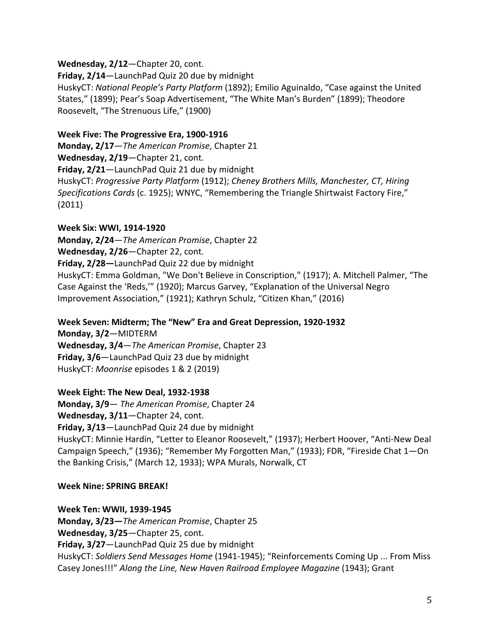Wednesday, 2/12-Chapter 20, cont.

Friday, 2/14-LaunchPad Quiz 20 due by midnight

HuskyCT: National People's Party Platform (1892); Emilio Aguinaldo, "Case against the United States," (1899); Pear's Soap Advertisement, "The White Man's Burden" (1899); Theodore Roosevelt, "The Strenuous Life," (1900)

# **Week Five: The Progressive Era, 1900-1916**

**Monday, 2/17**—*The American Promise*, Chapter 21 Wednesday, 2/19-Chapter 21, cont. Friday, 2/21-LaunchPad Quiz 21 due by midnight HuskyCT: Progressive Party Platform (1912); Cheney Brothers Mills, Manchester, CT, Hiring Specifications Cards (c. 1925); WNYC, "Remembering the Triangle Shirtwaist Factory Fire," (2011)

# **Week Six: WWI, 1914-1920**

**Monday, 2/24**—*The American Promise*, Chapter 22

Wednesday, 2/26-Chapter 22, cont. Friday, 2/28-LaunchPad Quiz 22 due by midnight

HuskyCT: Emma Goldman, "We Don't Believe in Conscription," (1917); A. Mitchell Palmer, "The Case Against the 'Reds,'" (1920); Marcus Garvey, "Explanation of the Universal Negro Improvement Association," (1921); Kathryn Schulz, "Citizen Khan," (2016)

Week Seven: Midterm; The "New" Era and Great Depression, 1920-1932

**Monday, 3/2-MIDTERM Wednesday, 3/4**—*The American Promise*, Chapter 23 Friday, 3/6-LaunchPad Quiz 23 due by midnight HuskyCT: Moonrise episodes 1 & 2 (2019)

## Week Eight: The New Deal, 1932-1938

**Monday, 3/9**— *The American Promise*, Chapter 24 Wednesday, 3/11-Chapter 24, cont. Friday, 3/13-LaunchPad Quiz 24 due by midnight

HuskyCT: Minnie Hardin, "Letter to Eleanor Roosevelt," (1937); Herbert Hoover, "Anti-New Deal Campaign Speech," (1936); "Remember My Forgotten Man," (1933); FDR, "Fireside Chat 1-On the Banking Crisis," (March 12, 1933); WPA Murals, Norwalk, CT

# **Week Nine: SPRING BREAK!**

**Week Ten: WWII, 1939-1945**

**Monday, 3/23**—*The American Promise*, Chapter 25 Wednesday, 3/25-Chapter 25, cont. Friday, 3/27-LaunchPad Quiz 25 due by midnight HuskyCT: Soldiers Send Messages Home (1941-1945); "Reinforcements Coming Up ... From Miss Casey Jones!!!" Along the Line, New Haven Railroad Employee Magazine (1943); Grant